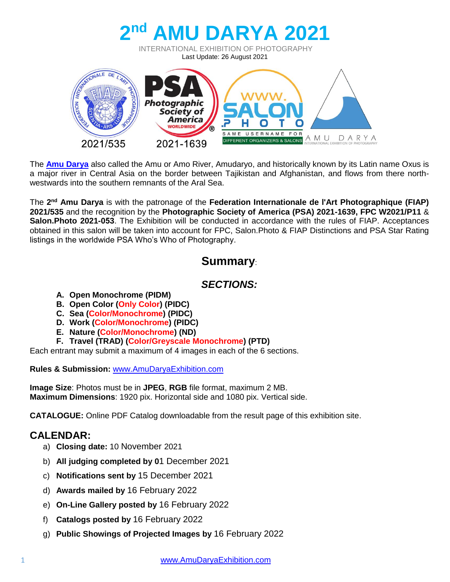

The **[Amu Darya](https://en.wikipedia.org/wiki/Amu_Darya)** also called the Amu or Amo River, Amudaryo, and historically known by its Latin name Oxus is a major river in Central Asia on the border between Tajikistan and Afghanistan, and flows from there northwestwards into the southern remnants of the Aral Sea.

The 2<sup>nd</sup> Amu Darya is with the patronage of the Federation Internationale de l'Art Photographique (FIAP) **2021/535** and the recognition by the **Photographic Society of America (PSA) 2021-1639, FPC W2021/P11** & **Salon.Photo 2021-053**. The Exhibition will be conducted in accordance with the rules of FIAP. Acceptances obtained in this salon will be taken into account for FPC, Salon.Photo & FIAP Distinctions and PSA Star Rating listings in the worldwide PSA Who's Who of Photography.

# **Summary**:

# *SECTIONS:*

- **A. Open Monochrome (PIDM)**
- **B. Open Color (Only Color) (PIDC)**
- **C. Sea (Color/Monochrome) (PIDC)**
- **D. Work (Color/Monochrome) (PIDC)**
- **E. Nature (Color/Monochrome) (ND)**
- **F. Travel (TRAD) (Color/Greyscale Monochrome) (PTD)**

Each entrant may submit a maximum of 4 images in each of the 6 sections.

**Rules & Submission:** [www.AmuDaryaExhibition.com](http://www.amudaryaexhibition.com/)

**Image Size**: Photos must be in **JPEG**, **RGB** file format, maximum 2 MB. **Maximum Dimensions**: 1920 pix. Horizontal side and 1080 pix. Vertical side.

**CATALOGUE:** Online PDF Catalog downloadable from the result page of this exhibition site.

# **CALENDAR:**

- a) **Closing date:** 10 November 2021
- b) **All judging completed by 0**1 December 2021
- c) **Notifications sent by** 15 December 2021
- d) **Awards mailed by** 16 February 2022
- e) **On-Line Gallery posted by** 16 February 2022
- f) **Catalogs posted by** 16 February 2022
- g) **Public Showings of Projected Images by** 16 February 2022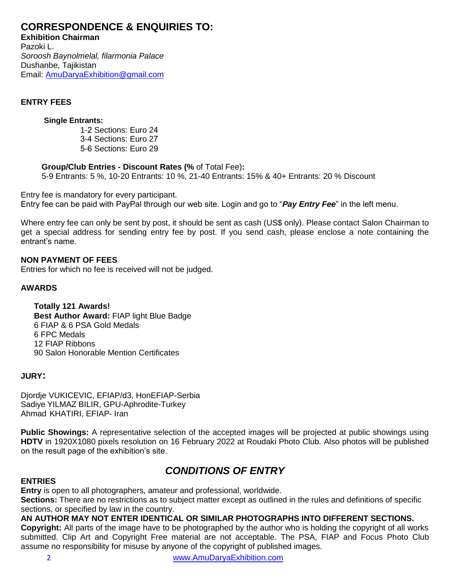**CORRESPONDENCE & ENQUIRIES TO:**

**Exhibition Chairman**

Pazoki L. *Soroosh Baynolmelal, filarmonia Palace* Dushanbe, Tajikistan Email: [AmuDaryaExhibition@gmail.com](mailto:AmuDaryaExhibition@gmail.com)

## **ENTRY FEES**

## **Single Entrants:**

1-2 Sections: Euro 24 3-4 Sections: Euro 27 5-6 Sections: Euro 29

## **Group/Club Entries - Discount Rates (%** of Total Fee)**:**

5-9 Entrants: 5 %, 10-20 Entrants: 10 %, 21-40 Entrants: 15% & 40+ Entrants: 20 % Discount

Entry fee is mandatory for every participant.

Entry fee can be paid with PayPal through our web site. Login and go to "*Pay Entry Fee*" in the left menu.

Where entry fee can only be sent by post, it should be sent as cash (US\$ only). Please contact Salon Chairman to get a special address for sending entry fee by post. If you send cash, please enclose a note containing the entrant's name.

## **NON PAYMENT OF FEES**

Entries for which no fee is received will not be judged.

## **AWARDS**

**Totally 121 Awards! Best Author Award:** FIAP light Blue Badge 6 FIAP & 6 PSA Gold Medals 6 FPC Medals 12 FIAP Ribbons 90 Salon Honorable Mention Certificates

## **JURY:**

Djordje VUKICEVIC, EFIAP/d3, HonEFIAP-Serbia Sadiye YILMAZ BILIR, GPU-Aphrodite-Turkey Ahmad KHATIRI, EFIAP- Iran

**Public Showings:** A representative selection of the accepted images will be projected at public showings using **HDTV** in 1920X1080 pixels resolution on 16 February 2022 at Roudaki Photo Club. Also photos will be published on the result page of the exhibition's site.

# *CONDITIONS OF ENTRY*

## **ENTRIES**

**Entry** is open to all photographers, amateur and professional, worldwide.

**Sections:** There are no restrictions as to subject matter except as outlined in the rules and definitions of specific sections, or specified by law in the country.

**AN AUTHOR MAY NOT ENTER IDENTICAL OR SIMILAR PHOTOGRAPHS INTO DIFFERENT SECTIONS. Copyright:** All parts of the image have to be photographed by the author who is holding the copyright of all works submitted. Clip Art and Copyright Free material are not acceptable. The PSA, FIAP and Focus Photo Club assume no responsibility for misuse by anyone of the copyright of published images.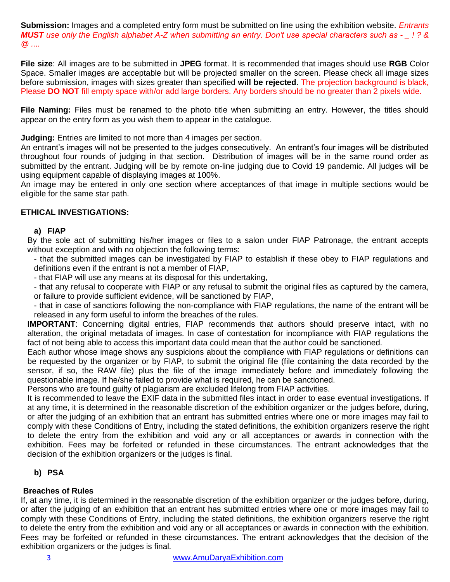**Submission:** Images and a completed entry form must be submitted on line using the exhibition website. *Entrants MUST use only the English alphabet A-Z when submitting an entry. Don't use special characters such as - \_ ! ? & @ ....*

**File size**: All images are to be submitted in **JPEG** format. It is recommended that images should use **RGB** Color Space. Smaller images are acceptable but will be projected smaller on the screen. Please check all image sizes before submission, images with sizes greater than specified **will be rejected**. The projection background is black, Please **DO NOT** fill empty space with/or add large borders. Any borders should be no greater than 2 pixels wide.

**File Naming:** Files must be renamed to the photo title when submitting an entry. However, the titles should appear on the entry form as you wish them to appear in the catalogue.

**Judging:** Entries are limited to not more than 4 images per section.

An entrant's images will not be presented to the judges consecutively. An entrant's four images will be distributed throughout four rounds of judging in that section. Distribution of images will be in the same round order as submitted by the entrant. Judging will be by remote on-line judging due to Covid 19 pandemic. All judges will be using equipment capable of displaying images at 100%.

An image may be entered in only one section where acceptances of that image in multiple sections would be eligible for the same star path.

### **ETHICAL INVESTIGATIONS:**

### **a) FIAP**

By the sole act of submitting his/her images or files to a salon under FIAP Patronage, the entrant accepts without exception and with no objection the following terms:

- that the submitted images can be investigated by FIAP to establish if these obey to FIAP regulations and definitions even if the entrant is not a member of FIAP,

- that FIAP will use any means at its disposal for this undertaking,

- that any refusal to cooperate with FIAP or any refusal to submit the original files as captured by the camera, or failure to provide sufficient evidence, will be sanctioned by FIAP,

- that in case of sanctions following the non-compliance with FIAP regulations, the name of the entrant will be released in any form useful to inform the breaches of the rules.

**IMPORTANT**: Concerning digital entries, FIAP recommends that authors should preserve intact, with no alteration, the original metadata of images. In case of contestation for incompliance with FIAP regulations the fact of not being able to access this important data could mean that the author could be sanctioned.

Each author whose image shows any suspicions about the compliance with FIAP regulations or definitions can be requested by the organizer or by FIAP, to submit the original file (file containing the data recorded by the sensor, if so, the RAW file) plus the file of the image immediately before and immediately following the questionable image. If he/she failed to provide what is required, he can be sanctioned.

Persons who are found guilty of plagiarism are excluded lifelong from FIAP activities.

It is recommended to leave the EXIF data in the submitted files intact in order to ease eventual investigations. If at any time, it is determined in the reasonable discretion of the exhibition organizer or the judges before, during, or after the judging of an exhibition that an entrant has submitted entries where one or more images may fail to comply with these Conditions of Entry, including the stated definitions, the exhibition organizers reserve the right to delete the entry from the exhibition and void any or all acceptances or awards in connection with the exhibition. Fees may be forfeited or refunded in these circumstances. The entrant acknowledges that the decision of the exhibition organizers or the judges is final.

## **b) PSA**

### **Breaches of Rules**

If, at any time, it is determined in the reasonable discretion of the exhibition organizer or the judges before, during, or after the judging of an exhibition that an entrant has submitted entries where one or more images may fail to comply with these Conditions of Entry, including the stated definitions, the exhibition organizers reserve the right to delete the entry from the exhibition and void any or all acceptances or awards in connection with the exhibition. Fees may be forfeited or refunded in these circumstances. The entrant acknowledges that the decision of the exhibition organizers or the judges is final.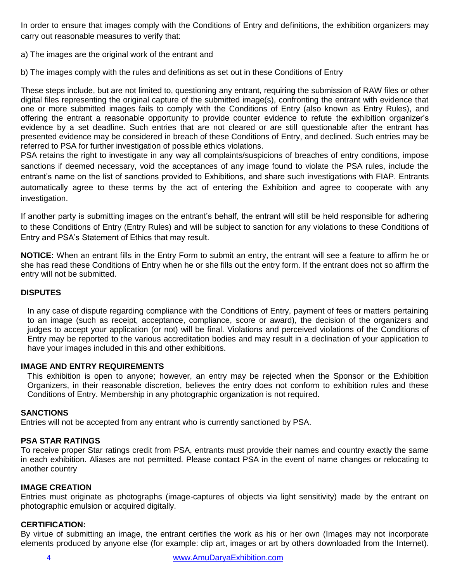In order to ensure that images comply with the Conditions of Entry and definitions, the exhibition organizers may carry out reasonable measures to verify that:

a) The images are the original work of the entrant and

b) The images comply with the rules and definitions as set out in these Conditions of Entry

These steps include, but are not limited to, questioning any entrant, requiring the submission of RAW files or other digital files representing the original capture of the submitted image(s), confronting the entrant with evidence that one or more submitted images fails to comply with the Conditions of Entry (also known as Entry Rules), and offering the entrant a reasonable opportunity to provide counter evidence to refute the exhibition organizer's evidence by a set deadline. Such entries that are not cleared or are still questionable after the entrant has presented evidence may be considered in breach of these Conditions of Entry, and declined. Such entries may be referred to PSA for further investigation of possible ethics violations.

PSA retains the right to investigate in any way all complaints/suspicions of breaches of entry conditions, impose sanctions if deemed necessary, void the acceptances of any image found to violate the PSA rules, include the entrant's name on the list of sanctions provided to Exhibitions, and share such investigations with FIAP. Entrants automatically agree to these terms by the act of entering the Exhibition and agree to cooperate with any investigation.

If another party is submitting images on the entrant's behalf, the entrant will still be held responsible for adhering to these Conditions of Entry (Entry Rules) and will be subject to sanction for any violations to these Conditions of Entry and PSA's Statement of Ethics that may result.

**NOTICE:** When an entrant fills in the Entry Form to submit an entry, the entrant will see a feature to affirm he or she has read these Conditions of Entry when he or she fills out the entry form. If the entrant does not so affirm the entry will not be submitted.

### **DISPUTES**

In any case of dispute regarding compliance with the Conditions of Entry, payment of fees or matters pertaining to an image (such as receipt, acceptance, compliance, score or award), the decision of the organizers and judges to accept your application (or not) will be final. Violations and perceived violations of the Conditions of Entry may be reported to the various accreditation bodies and may result in a declination of your application to have your images included in this and other exhibitions.

#### **IMAGE AND ENTRY REQUIREMENTS**

This exhibition is open to anyone; however, an entry may be rejected when the Sponsor or the Exhibition Organizers, in their reasonable discretion, believes the entry does not conform to exhibition rules and these Conditions of Entry. Membership in any photographic organization is not required.

#### **SANCTIONS**

Entries will not be accepted from any entrant who is currently sanctioned by PSA.

### **PSA STAR RATINGS**

To receive proper Star ratings credit from PSA, entrants must provide their names and country exactly the same in each exhibition. Aliases are not permitted. Please contact PSA in the event of name changes or relocating to another country

#### **IMAGE CREATION**

Entries must originate as photographs (image-captures of objects via light sensitivity) made by the entrant on photographic emulsion or acquired digitally.

#### **CERTIFICATION:**

By virtue of submitting an image, the entrant certifies the work as his or her own (Images may not incorporate elements produced by anyone else (for example: clip art, images or art by others downloaded from the Internet).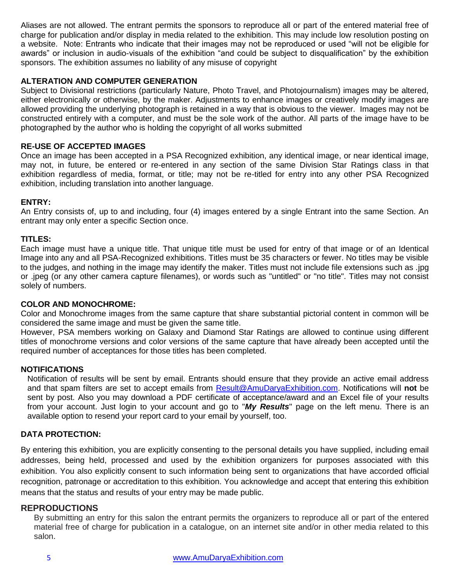Aliases are not allowed. The entrant permits the sponsors to reproduce all or part of the entered material free of charge for publication and/or display in media related to the exhibition. This may include low resolution posting on a website. Note: Entrants who indicate that their images may not be reproduced or used "will not be eligible for awards" or inclusion in audio-visuals of the exhibition "and could be subject to disqualification" by the exhibition sponsors. The exhibition assumes no liability of any misuse of copyright

### **ALTERATION AND COMPUTER GENERATION**

Subject to Divisional restrictions (particularly Nature, Photo Travel, and Photojournalism) images may be altered, either electronically or otherwise, by the maker. Adjustments to enhance images or creatively modify images are allowed providing the underlying photograph is retained in a way that is obvious to the viewer. Images may not be constructed entirely with a computer, and must be the sole work of the author. All parts of the image have to be photographed by the author who is holding the copyright of all works submitted

#### **RE-USE OF ACCEPTED IMAGES**

Once an image has been accepted in a PSA Recognized exhibition, any identical image, or near identical image, may not, in future, be entered or re-entered in any section of the same Division Star Ratings class in that exhibition regardless of media, format, or title; may not be re-titled for entry into any other PSA Recognized exhibition, including translation into another language.

#### **ENTRY:**

An Entry consists of, up to and including, four (4) images entered by a single Entrant into the same Section. An entrant may only enter a specific Section once.

#### **TITLES:**

Each image must have a unique title. That unique title must be used for entry of that image or of an Identical Image into any and all PSA-Recognized exhibitions. Titles must be 35 characters or fewer. No titles may be visible to the judges, and nothing in the image may identify the maker. Titles must not include file extensions such as .jpg or .jpeg (or any other camera capture filenames), or words such as "untitled" or "no title". Titles may not consist solely of numbers.

#### **COLOR AND MONOCHROME:**

Color and Monochrome images from the same capture that share substantial pictorial content in common will be considered the same image and must be given the same title.

However, PSA members working on Galaxy and Diamond Star Ratings are allowed to continue using different titles of monochrome versions and color versions of the same capture that have already been accepted until the required number of acceptances for those titles has been completed.

#### **NOTIFICATIONS**

Notification of results will be sent by email. Entrants should ensure that they provide an active email address and that spam filters are set to accept emails from [Result@AmuDaryaExhibition.com.](mailto:Result@AmuDaryaExhibition.com) Notifications will **not** be sent by post. Also you may download a PDF certificate of acceptance/award and an Excel file of your results from your account. Just login to your account and go to "*My Results*" page on the left menu. There is an available option to resend your report card to your email by yourself, too.

#### **DATA PROTECTION:**

By entering this exhibition, you are explicitly consenting to the personal details you have supplied, including email addresses, being held, processed and used by the exhibition organizers for purposes associated with this exhibition. You also explicitly consent to such information being sent to organizations that have accorded official recognition, patronage or accreditation to this exhibition. You acknowledge and accept that entering this exhibition means that the status and results of your entry may be made public.

#### **REPRODUCTIONS**

By submitting an entry for this salon the entrant permits the organizers to reproduce all or part of the entered material free of charge for publication in a catalogue, on an internet site and/or in other media related to this salon.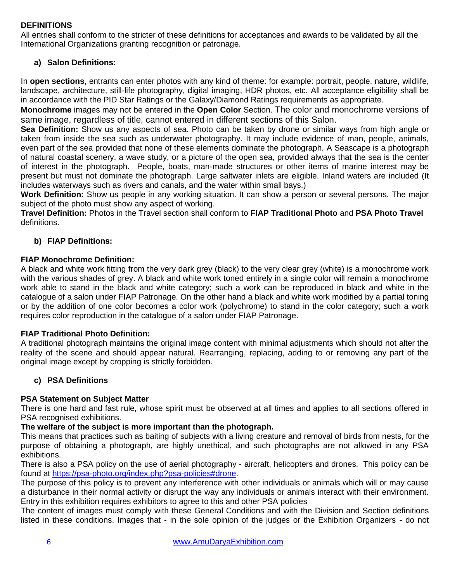## **DEFINITIONS**

All entries shall conform to the stricter of these definitions for acceptances and awards to be validated by all the International Organizations granting recognition or patronage.

## **a) Salon Definitions:**

In **open sections**, entrants can enter photos with any kind of theme: for example: portrait, people, nature, wildlife, landscape, architecture, still-life photography, digital imaging, HDR photos, etc. All acceptance eligibility shall be in accordance with the PID Star Ratings or the Galaxy/Diamond Ratings requirements as appropriate.

**Monochrome** images may not be entered in the **Open Color** Section. The color and monochrome versions of same image, regardless of title, cannot entered in different sections of this Salon.

**Sea Definition:** Show us any aspects of sea. Photo can be taken by drone or similar ways from high angle or taken from inside the sea such as underwater photography. It may include evidence of man, people, animals, even part of the sea provided that none of these elements dominate the photograph. A Seascape is a photograph of natural coastal scenery, a wave study, or a picture of the open sea, provided always that the sea is the center of interest in the photograph. People, boats, man-made structures or other items of marine interest may be present but must not dominate the photograph. Large saltwater inlets are eligible. Inland waters are included (It includes waterways such as rivers and canals, and the water within small bays.)

**Work Definition:** Show us people in any working situation. It can show a person or several persons. The major subject of the photo must show any aspect of working.

**Travel Definition:** Photos in the Travel section shall conform to **FIAP Traditional Photo** and **PSA Photo Travel** definitions.

## **b) FIAP Definitions:**

## **FIAP Monochrome Definition:**

A black and white work fitting from the very dark grey (black) to the very clear grey (white) is a monochrome work with the various shades of grey. A black and white work toned entirely in a single color will remain a monochrome work able to stand in the black and white category; such a work can be reproduced in black and white in the catalogue of a salon under FIAP Patronage. On the other hand a black and white work modified by a partial toning or by the addition of one color becomes a color work (polychrome) to stand in the color category; such a work requires color reproduction in the catalogue of a salon under FIAP Patronage.

## **FIAP Traditional Photo Definition:**

A traditional photograph maintains the original image content with minimal adjustments which should not alter the reality of the scene and should appear natural. Rearranging, replacing, adding to or removing any part of the original image except by cropping is strictly forbidden.

## **c) PSA Definitions**

## **PSA Statement on Subject Matter**

There is one hard and fast rule, whose spirit must be observed at all times and applies to all sections offered in PSA recognised exhibitions.

## **The welfare of the subject is more important than the photograph.**

This means that practices such as baiting of subjects with a living creature and removal of birds from nests, for the purpose of obtaining a photograph, are highly unethical, and such photographs are not allowed in any PSA exhibitions.

There is also a PSA policy on the use of aerial photography - aircraft, helicopters and drones. This policy can be found at [https://psa-photo.org/index.php?psa-policies#drone.](https://psa-photo.org/index.php?psa-policies#drone)

The purpose of this policy is to prevent any interference with other individuals or animals which will or may cause a disturbance in their normal activity or disrupt the way any individuals or animals interact with their environment. Entry in this exhibition requires exhibitors to agree to this and other PSA policies

The content of images must comply with these General Conditions and with the Division and Section definitions listed in these conditions. Images that - in the sole opinion of the judges or the Exhibition Organizers - do not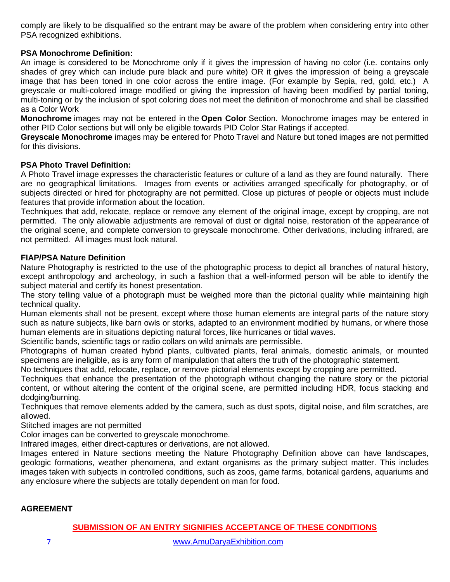comply are likely to be disqualified so the entrant may be aware of the problem when considering entry into other PSA recognized exhibitions.

## **PSA Monochrome Definition:**

An image is considered to be Monochrome only if it gives the impression of having no color (i.e. contains only shades of grey which can include pure black and pure white) OR it gives the impression of being a greyscale image that has been toned in one color across the entire image. (For example by Sepia, red, gold, etc.) A greyscale or multi-colored image modified or giving the impression of having been modified by partial toning, multi-toning or by the inclusion of spot coloring does not meet the definition of monochrome and shall be classified as a Color Work

**Monochrome** images may not be entered in the **Open Color** Section. Monochrome images may be entered in other PID Color sections but will only be eligible towards PID Color Star Ratings if accepted.

**Greyscale Monochrome** images may be entered for Photo Travel and Nature but toned images are not permitted for this divisions.

### **PSA Photo Travel Definition:**

A Photo Travel image expresses the characteristic features or culture of a land as they are found naturally. There are no geographical limitations. Images from events or activities arranged specifically for photography, or of subjects directed or hired for photography are not permitted. Close up pictures of people or objects must include features that provide information about the location.

Techniques that add, relocate, replace or remove any element of the original image, except by cropping, are not permitted. The only allowable adjustments are removal of dust or digital noise, restoration of the appearance of the original scene, and complete conversion to greyscale monochrome. Other derivations, including infrared, are not permitted. All images must look natural.

#### **FIAP/PSA Nature Definition**

Nature Photography is restricted to the use of the photographic process to depict all branches of natural history, except anthropology and archeology, in such a fashion that a well-informed person will be able to identify the subject material and certify its honest presentation.

The story telling value of a photograph must be weighed more than the pictorial quality while maintaining high technical quality.

Human elements shall not be present, except where those human elements are integral parts of the nature story such as nature subjects, like barn owls or storks, adapted to an environment modified by humans, or where those human elements are in situations depicting natural forces, like hurricanes or tidal waves.

Scientific bands, scientific tags or radio collars on wild animals are permissible.

Photographs of human created hybrid plants, cultivated plants, feral animals, domestic animals, or mounted specimens are ineligible, as is any form of manipulation that alters the truth of the photographic statement.

No techniques that add, relocate, replace, or remove pictorial elements except by cropping are permitted.

Techniques that enhance the presentation of the photograph without changing the nature story or the pictorial content, or without altering the content of the original scene, are permitted including HDR, focus stacking and dodging/burning.

Techniques that remove elements added by the camera, such as dust spots, digital noise, and film scratches, are allowed.

Stitched images are not permitted

Color images can be converted to greyscale monochrome.

Infrared images, either direct-captures or derivations, are not allowed.

Images entered in Nature sections meeting the Nature Photography Definition above can have landscapes, geologic formations, weather phenomena, and extant organisms as the primary subject matter. This includes images taken with subjects in controlled conditions, such as zoos, game farms, botanical gardens, aquariums and any enclosure where the subjects are totally dependent on man for food.

### **AGREEMENT**

**SUBMISSION OF AN ENTRY SIGNIFIES ACCEPTANCE OF THESE CONDITIONS**